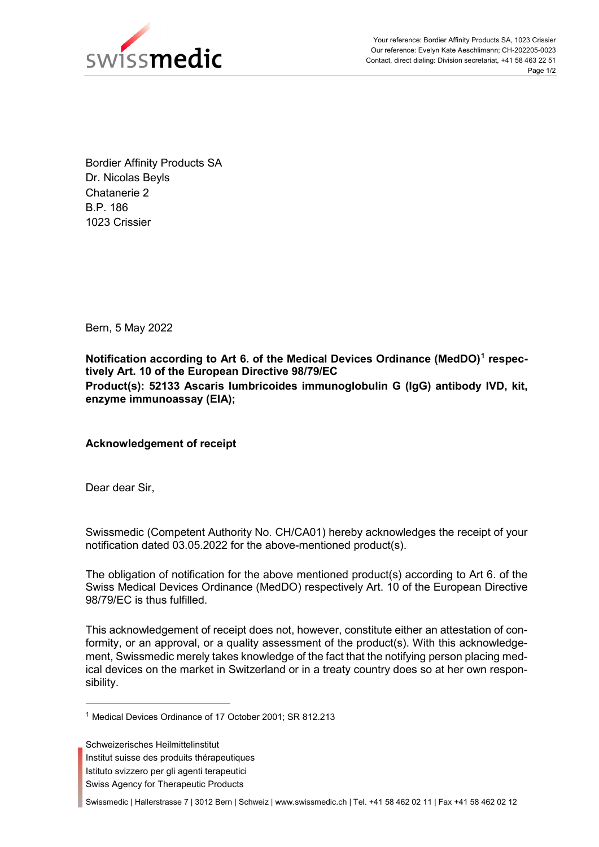

Bordier Affinity Products SA Dr. Nicolas Beyls Chatanerie 2 B.P. 186 1023 Crissier

Bern, 5 May 2022

**Notification according to Art 6. of the Medical Devices Ordinance (MedDO)[1](#page-0-0) respectively Art. 10 of the European Directive 98/79/EC Product(s): 52133 Ascaris lumbricoides immunoglobulin G (IgG) antibody IVD, kit, enzyme immunoassay (EIA);** 

**Acknowledgement of receipt**

Dear dear Sir,

Swissmedic (Competent Authority No. CH/CA01) hereby acknowledges the receipt of your notification dated 03.05.2022 for the above-mentioned product(s).

The obligation of notification for the above mentioned product(s) according to Art 6. of the Swiss Medical Devices Ordinance (MedDO) respectively Art. 10 of the European Directive 98/79/EC is thus fulfilled.

This acknowledgement of receipt does not, however, constitute either an attestation of conformity, or an approval, or a quality assessment of the product(s). With this acknowledgement, Swissmedic merely takes knowledge of the fact that the notifying person placing medical devices on the market in Switzerland or in a treaty country does so at her own responsibility.

- Institut suisse des produits thérapeutiques
- Istituto svizzero per gli agenti terapeutici
- Swiss Agency for Therapeutic Products

Swissmedic | Hallerstrasse 7 | 3012 Bern | Schweiz | www.swissmedic.ch | Tel. +41 58 462 02 11 | Fax +41 58 462 02 12

<span id="page-0-0"></span> <sup>1</sup> Medical Devices Ordinance of 17 October 2001; SR 812.213

Schweizerisches Heilmittelinstitut